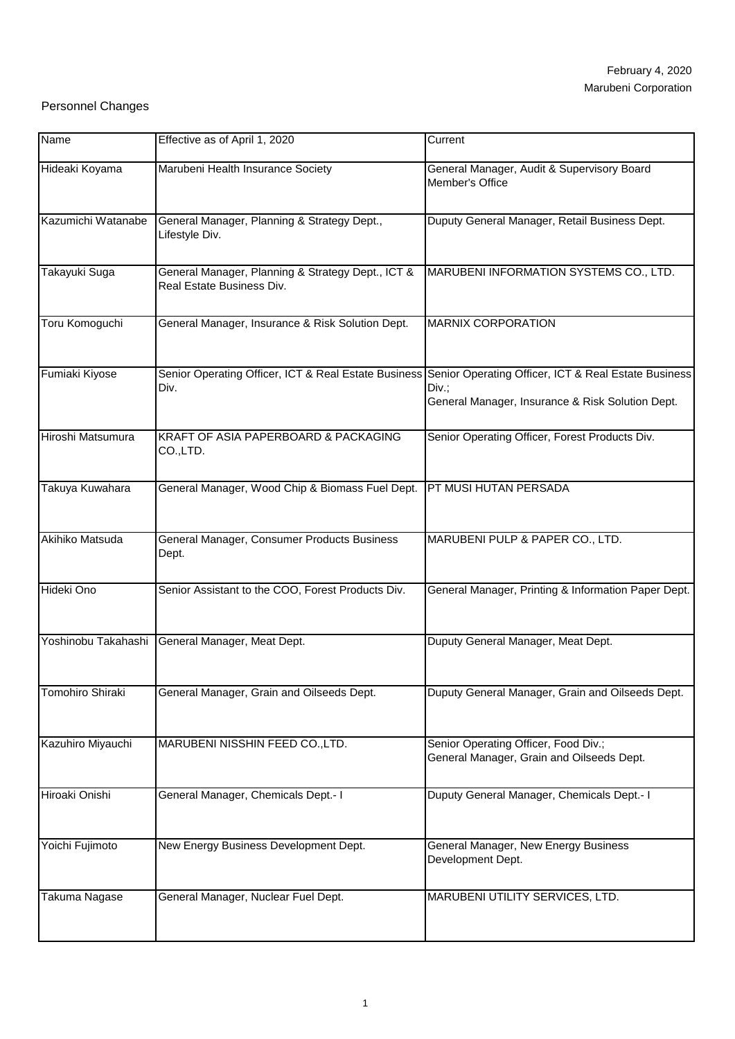## Personnel Changes

| Name                    | Effective as of April 1, 2020                                                  | Current                                                                                                                                                                |
|-------------------------|--------------------------------------------------------------------------------|------------------------------------------------------------------------------------------------------------------------------------------------------------------------|
| Hideaki Koyama          | Marubeni Health Insurance Society                                              | General Manager, Audit & Supervisory Board<br>Member's Office                                                                                                          |
| Kazumichi Watanabe      | General Manager, Planning & Strategy Dept.,<br>Lifestyle Div.                  | Duputy General Manager, Retail Business Dept.                                                                                                                          |
| Takayuki Suga           | General Manager, Planning & Strategy Dept., ICT &<br>Real Estate Business Div. | MARUBENI INFORMATION SYSTEMS CO., LTD.                                                                                                                                 |
| Toru Komoguchi          | General Manager, Insurance & Risk Solution Dept.                               | <b>MARNIX CORPORATION</b>                                                                                                                                              |
| Fumiaki Kiyose          | Div.                                                                           | Senior Operating Officer, ICT & Real Estate Business Senior Operating Officer, ICT & Real Estate Business<br>Div.;<br>General Manager, Insurance & Risk Solution Dept. |
| Hiroshi Matsumura       | KRAFT OF ASIA PAPERBOARD & PACKAGING<br>CO.,LTD.                               | Senior Operating Officer, Forest Products Div.                                                                                                                         |
| Takuya Kuwahara         | General Manager, Wood Chip & Biomass Fuel Dept.                                | PT MUSI HUTAN PERSADA                                                                                                                                                  |
| Akihiko Matsuda         | General Manager, Consumer Products Business<br>Dept.                           | MARUBENI PULP & PAPER CO., LTD.                                                                                                                                        |
| Hideki Ono              | Senior Assistant to the COO, Forest Products Div.                              | General Manager, Printing & Information Paper Dept.                                                                                                                    |
| Yoshinobu Takahashi     | General Manager, Meat Dept.                                                    | Duputy General Manager, Meat Dept.                                                                                                                                     |
| <b>Tomohiro Shiraki</b> | General Manager, Grain and Oilseeds Dept.                                      | Duputy General Manager, Grain and Oilseeds Dept.                                                                                                                       |
| Kazuhiro Miyauchi       | MARUBENI NISSHIN FEED CO., LTD.                                                | Senior Operating Officer, Food Div.;<br>General Manager, Grain and Oilseeds Dept.                                                                                      |
| Hiroaki Onishi          | General Manager, Chemicals Dept.- I                                            | Duputy General Manager, Chemicals Dept.- I                                                                                                                             |
| Yoichi Fujimoto         | New Energy Business Development Dept.                                          | General Manager, New Energy Business<br>Development Dept.                                                                                                              |
| Takuma Nagase           | General Manager, Nuclear Fuel Dept.                                            | MARUBENI UTILITY SERVICES, LTD.                                                                                                                                        |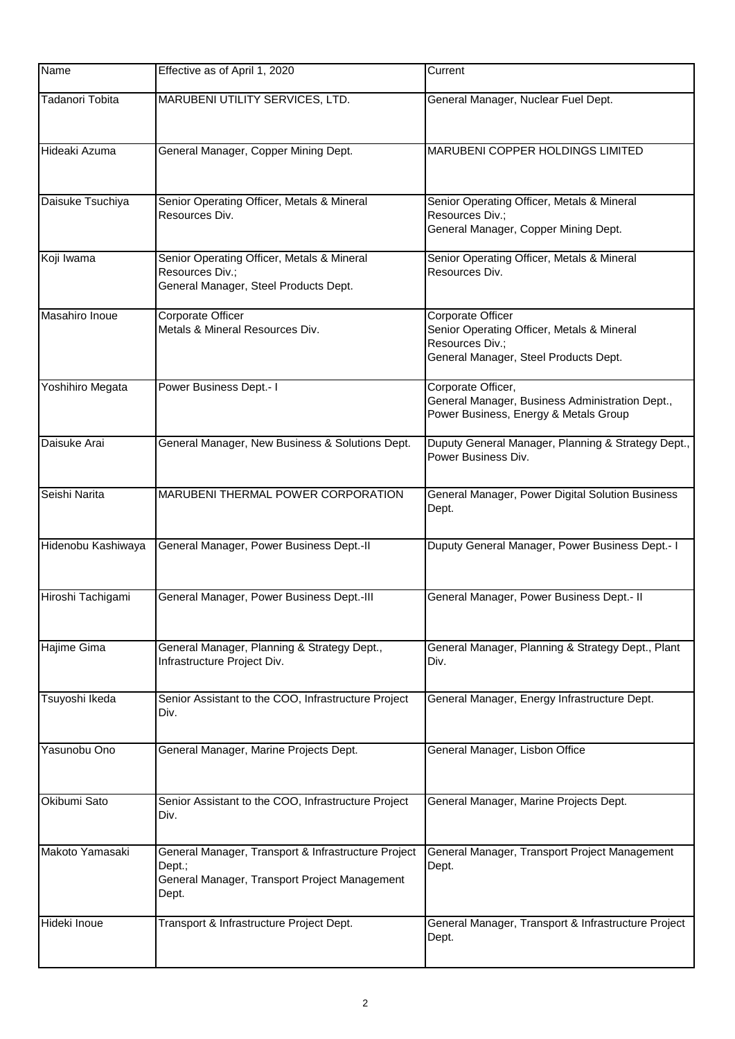| Name                   | Effective as of April 1, 2020                                                                                           | Current                                                                                                                     |
|------------------------|-------------------------------------------------------------------------------------------------------------------------|-----------------------------------------------------------------------------------------------------------------------------|
| <b>Tadanori Tobita</b> | MARUBENI UTILITY SERVICES, LTD.                                                                                         | General Manager, Nuclear Fuel Dept.                                                                                         |
| Hideaki Azuma          | General Manager, Copper Mining Dept.                                                                                    | MARUBENI COPPER HOLDINGS LIMITED                                                                                            |
| Daisuke Tsuchiya       | Senior Operating Officer, Metals & Mineral<br>Resources Div.                                                            | Senior Operating Officer, Metals & Mineral<br>Resources Div.;<br>General Manager, Copper Mining Dept.                       |
| Koji Iwama             | Senior Operating Officer, Metals & Mineral<br>Resources Div.;<br>General Manager, Steel Products Dept.                  | Senior Operating Officer, Metals & Mineral<br>Resources Div.                                                                |
| Masahiro Inoue         | Corporate Officer<br>Metals & Mineral Resources Div.                                                                    | Corporate Officer<br>Senior Operating Officer, Metals & Mineral<br>Resources Div.;<br>General Manager, Steel Products Dept. |
| Yoshihiro Megata       | Power Business Dept.- I                                                                                                 | Corporate Officer,<br>General Manager, Business Administration Dept.,<br>Power Business, Energy & Metals Group              |
| Daisuke Arai           | General Manager, New Business & Solutions Dept.                                                                         | Duputy General Manager, Planning & Strategy Dept.,<br>Power Business Div.                                                   |
| Seishi Narita          | MARUBENI THERMAL POWER CORPORATION                                                                                      | General Manager, Power Digital Solution Business<br>Dept.                                                                   |
| Hidenobu Kashiwaya     | General Manager, Power Business Dept.-II                                                                                | Duputy General Manager, Power Business Dept.- I                                                                             |
| Hiroshi Tachigami      | General Manager, Power Business Dept.-III                                                                               | General Manager, Power Business Dept.- II                                                                                   |
| Hajime Gima            | General Manager, Planning & Strategy Dept.,<br>Infrastructure Project Div.                                              | General Manager, Planning & Strategy Dept., Plant<br>Div.                                                                   |
| Tsuyoshi Ikeda         | Senior Assistant to the COO, Infrastructure Project<br>Div.                                                             | General Manager, Energy Infrastructure Dept.                                                                                |
| Yasunobu Ono           | General Manager, Marine Projects Dept.                                                                                  | General Manager, Lisbon Office                                                                                              |
| Okibumi Sato           | Senior Assistant to the COO, Infrastructure Project<br>Div.                                                             | General Manager, Marine Projects Dept.                                                                                      |
| Makoto Yamasaki        | General Manager, Transport & Infrastructure Project<br>Dept.;<br>General Manager, Transport Project Management<br>Dept. | General Manager, Transport Project Management<br>Dept.                                                                      |
| Hideki Inoue           | Transport & Infrastructure Project Dept.                                                                                | General Manager, Transport & Infrastructure Project<br>Dept.                                                                |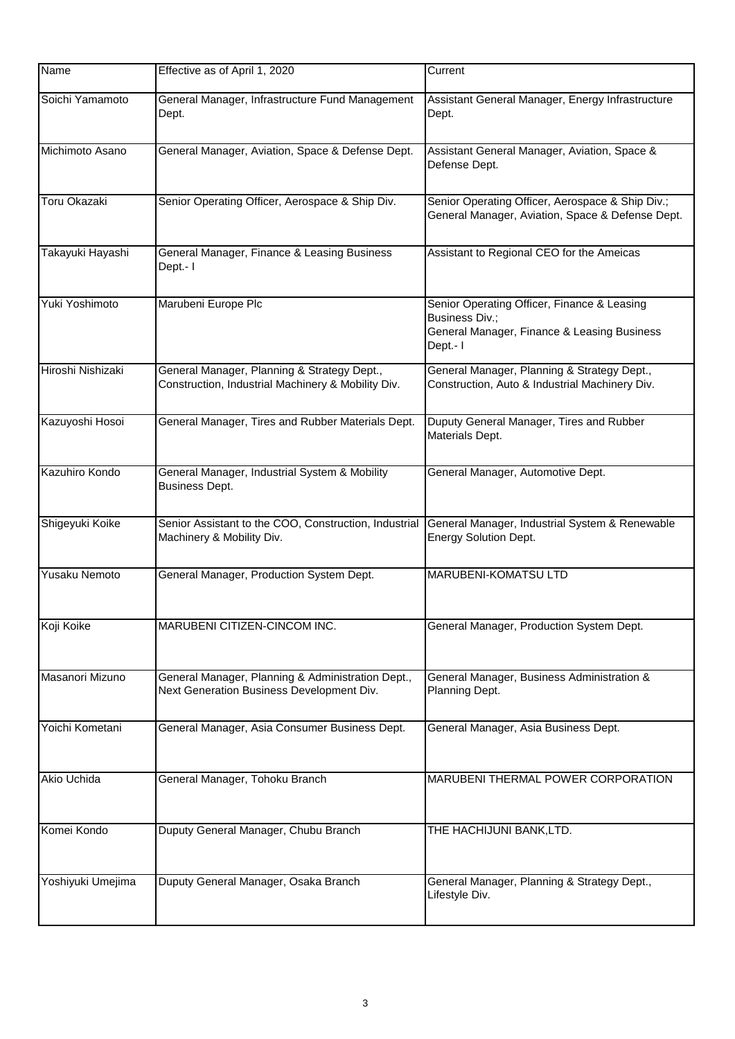| Name                | Effective as of April 1, 2020                                                                     | Current                                                                                                                   |
|---------------------|---------------------------------------------------------------------------------------------------|---------------------------------------------------------------------------------------------------------------------------|
| Soichi Yamamoto     | General Manager, Infrastructure Fund Management<br>Dept.                                          | Assistant General Manager, Energy Infrastructure<br>Dept.                                                                 |
| Michimoto Asano     | General Manager, Aviation, Space & Defense Dept.                                                  | Assistant General Manager, Aviation, Space &<br>Defense Dept.                                                             |
| <b>Toru Okazaki</b> | Senior Operating Officer, Aerospace & Ship Div.                                                   | Senior Operating Officer, Aerospace & Ship Div.;<br>General Manager, Aviation, Space & Defense Dept.                      |
| Takayuki Hayashi    | General Manager, Finance & Leasing Business<br>Dept.- I                                           | Assistant to Regional CEO for the Ameicas                                                                                 |
| Yuki Yoshimoto      | Marubeni Europe Plc                                                                               | Senior Operating Officer, Finance & Leasing<br>Business Div.;<br>General Manager, Finance & Leasing Business<br>Dept .- I |
| Hiroshi Nishizaki   | General Manager, Planning & Strategy Dept.,<br>Construction, Industrial Machinery & Mobility Div. | General Manager, Planning & Strategy Dept.,<br>Construction, Auto & Industrial Machinery Div.                             |
| Kazuyoshi Hosoi     | General Manager, Tires and Rubber Materials Dept.                                                 | Duputy General Manager, Tires and Rubber<br>Materials Dept.                                                               |
| Kazuhiro Kondo      | General Manager, Industrial System & Mobility<br><b>Business Dept.</b>                            | General Manager, Automotive Dept.                                                                                         |
| Shigeyuki Koike     | Senior Assistant to the COO, Construction, Industrial<br>Machinery & Mobility Div.                | General Manager, Industrial System & Renewable<br><b>Energy Solution Dept.</b>                                            |
| Yusaku Nemoto       | General Manager, Production System Dept.                                                          | MARUBENI-KOMATSU LTD                                                                                                      |
| Koji Koike          | MARUBENI CITIZEN-CINCOM INC.                                                                      | General Manager, Production System Dept.                                                                                  |
| Masanori Mizuno     | General Manager, Planning & Administration Dept.,<br>Next Generation Business Development Div.    | General Manager, Business Administration &<br>Planning Dept.                                                              |
| Yoichi Kometani     | General Manager, Asia Consumer Business Dept.                                                     | General Manager, Asia Business Dept.                                                                                      |
| Akio Uchida         | General Manager, Tohoku Branch                                                                    | MARUBENI THERMAL POWER CORPORATION                                                                                        |
| Komei Kondo         | Duputy General Manager, Chubu Branch                                                              | THE HACHIJUNI BANK,LTD.                                                                                                   |
| Yoshiyuki Umejima   | Duputy General Manager, Osaka Branch                                                              | General Manager, Planning & Strategy Dept.,<br>Lifestyle Div.                                                             |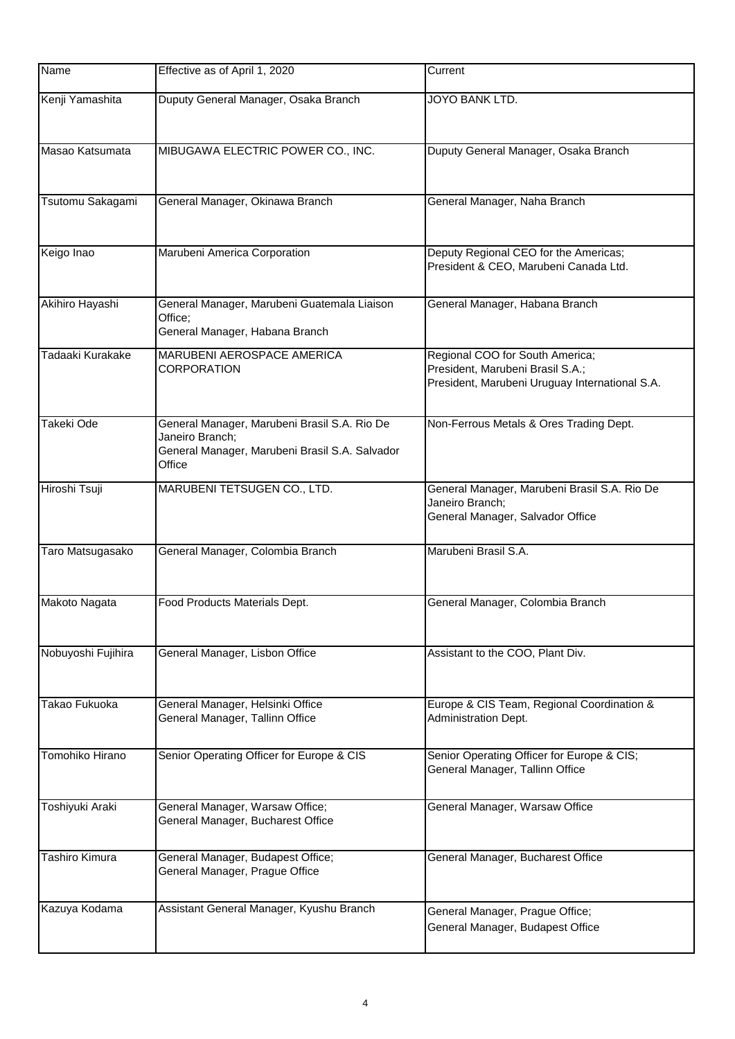| Name               | Effective as of April 1, 2020                                                                                               | Current                                                                                                               |
|--------------------|-----------------------------------------------------------------------------------------------------------------------------|-----------------------------------------------------------------------------------------------------------------------|
| Kenji Yamashita    | Duputy General Manager, Osaka Branch                                                                                        | <b>JOYO BANK LTD.</b>                                                                                                 |
| Masao Katsumata    | MIBUGAWA ELECTRIC POWER CO., INC.                                                                                           | Duputy General Manager, Osaka Branch                                                                                  |
| Tsutomu Sakagami   | General Manager, Okinawa Branch                                                                                             | General Manager, Naha Branch                                                                                          |
| Keigo Inao         | Marubeni America Corporation                                                                                                | Deputy Regional CEO for the Americas;<br>President & CEO, Marubeni Canada Ltd.                                        |
| Akihiro Hayashi    | General Manager, Marubeni Guatemala Liaison<br>Office;<br>General Manager, Habana Branch                                    | General Manager, Habana Branch                                                                                        |
| Tadaaki Kurakake   | MARUBENI AEROSPACE AMERICA<br><b>CORPORATION</b>                                                                            | Regional COO for South America;<br>President, Marubeni Brasil S.A.;<br>President, Marubeni Uruguay International S.A. |
| Takeki Ode         | General Manager, Marubeni Brasil S.A. Rio De<br>Janeiro Branch;<br>General Manager, Marubeni Brasil S.A. Salvador<br>Office | Non-Ferrous Metals & Ores Trading Dept.                                                                               |
| Hiroshi Tsuji      | MARUBENI TETSUGEN CO., LTD.                                                                                                 | General Manager, Marubeni Brasil S.A. Rio De<br>Janeiro Branch;<br>General Manager, Salvador Office                   |
| Taro Matsugasako   | General Manager, Colombia Branch                                                                                            | Marubeni Brasil S.A.                                                                                                  |
| Makoto Nagata      | Food Products Materials Dept.                                                                                               | General Manager, Colombia Branch                                                                                      |
| Nobuyoshi Fujihira | General Manager, Lisbon Office                                                                                              | Assistant to the COO, Plant Div.                                                                                      |
| Takao Fukuoka      | General Manager, Helsinki Office<br>General Manager, Tallinn Office                                                         | Europe & CIS Team, Regional Coordination &<br>Administration Dept.                                                    |
| Tomohiko Hirano    | Senior Operating Officer for Europe & CIS                                                                                   | Senior Operating Officer for Europe & CIS;<br>General Manager, Tallinn Office                                         |
| Toshiyuki Araki    | General Manager, Warsaw Office;<br>General Manager, Bucharest Office                                                        | General Manager, Warsaw Office                                                                                        |
| Tashiro Kimura     | General Manager, Budapest Office;<br>General Manager, Prague Office                                                         | General Manager, Bucharest Office                                                                                     |
| Kazuya Kodama      | Assistant General Manager, Kyushu Branch                                                                                    | General Manager, Prague Office;<br>General Manager, Budapest Office                                                   |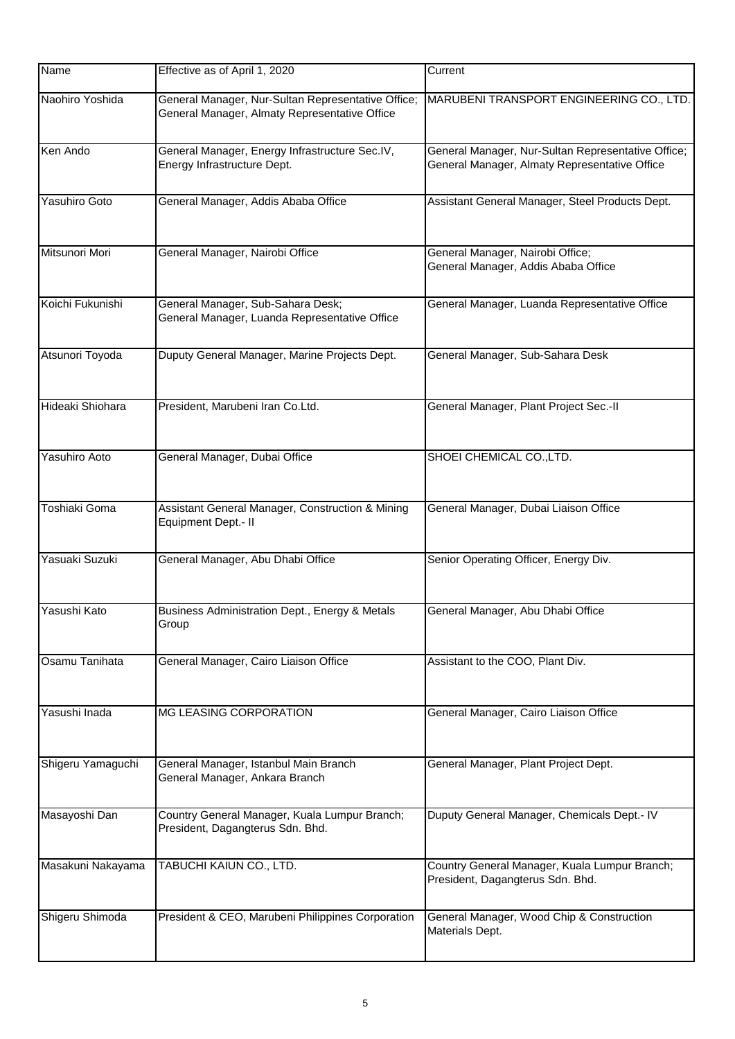| Name                 | Effective as of April 1, 2020                                                                       | Current                                                                                             |
|----------------------|-----------------------------------------------------------------------------------------------------|-----------------------------------------------------------------------------------------------------|
| Naohiro Yoshida      | General Manager, Nur-Sultan Representative Office;<br>General Manager, Almaty Representative Office | MARUBENI TRANSPORT ENGINEERING CO., LTD.                                                            |
| Ken Ando             | General Manager, Energy Infrastructure Sec.IV,<br>Energy Infrastructure Dept.                       | General Manager, Nur-Sultan Representative Office;<br>General Manager, Almaty Representative Office |
| <b>Yasuhiro Goto</b> | General Manager, Addis Ababa Office                                                                 | Assistant General Manager, Steel Products Dept.                                                     |
| Mitsunori Mori       | General Manager, Nairobi Office                                                                     | General Manager, Nairobi Office;<br>General Manager, Addis Ababa Office                             |
| Koichi Fukunishi     | General Manager, Sub-Sahara Desk;<br>General Manager, Luanda Representative Office                  | General Manager, Luanda Representative Office                                                       |
| Atsunori Toyoda      | Duputy General Manager, Marine Projects Dept.                                                       | General Manager, Sub-Sahara Desk                                                                    |
| Hideaki Shiohara     | President, Marubeni Iran Co.Ltd.                                                                    | General Manager, Plant Project Sec.-II                                                              |
| Yasuhiro Aoto        | General Manager, Dubai Office                                                                       | SHOEI CHEMICAL CO., LTD.                                                                            |
| Toshiaki Goma        | Assistant General Manager, Construction & Mining<br>Equipment Dept.- II                             | General Manager, Dubai Liaison Office                                                               |
| Yasuaki Suzuki       | General Manager, Abu Dhabi Office                                                                   | Senior Operating Officer, Energy Div.                                                               |
| Yasushi Kato         | Business Administration Dept., Energy & Metals<br>Group                                             | General Manager, Abu Dhabi Office                                                                   |
| Osamu Tanihata       | General Manager, Cairo Liaison Office                                                               | Assistant to the COO, Plant Div.                                                                    |
| Yasushi Inada        | MG LEASING CORPORATION                                                                              | General Manager, Cairo Liaison Office                                                               |
| Shigeru Yamaguchi    | General Manager, Istanbul Main Branch<br>General Manager, Ankara Branch                             | General Manager, Plant Project Dept.                                                                |
| Masayoshi Dan        | Country General Manager, Kuala Lumpur Branch;<br>President, Dagangterus Sdn. Bhd.                   | Duputy General Manager, Chemicals Dept.- IV                                                         |
| Masakuni Nakayama    | TABUCHI KAIUN CO., LTD.                                                                             | Country General Manager, Kuala Lumpur Branch;<br>President, Dagangterus Sdn. Bhd.                   |
| Shigeru Shimoda      | President & CEO, Marubeni Philippines Corporation                                                   | General Manager, Wood Chip & Construction<br>Materials Dept.                                        |